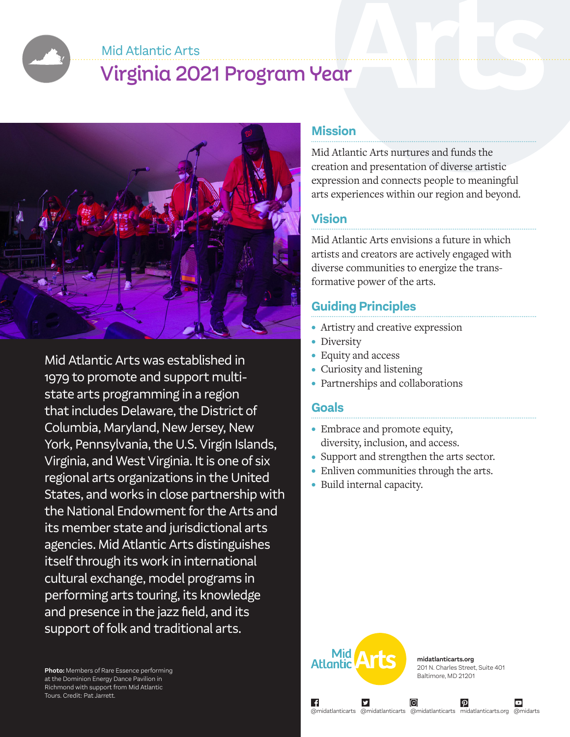Mid Atlantic Arts

# Virginia 2021 Program Year



Mid Atlantic Arts was established in 1979 to promote and support multistate arts programming in a region that includes Delaware, the District of Columbia, Maryland, New Jersey, New York, Pennsylvania, the U.S. Virgin Islands, Virginia, and West Virginia. It is one of six regional arts organizations in the United States, and works in close partnership with the National Endowment for the Arts and its member state and jurisdictional arts agencies. Mid Atlantic Arts distinguishes itself through its work in international cultural exchange, model programs in performing arts touring, its knowledge and presence in the jazz field, and its support of folk and traditional arts.

**Photo:** Members of Rare Essence performing at the Dominion Energy Dance Pavilion in Richmond with support from Mid Atlantic Tours. Credit: Pat Jarrett.

### **Mission**

Mid Atlantic Arts nurtures and funds the creation and presentation of diverse artistic expression and connects people to meaningful arts experiences within our region and beyond.

## **Vision**

Mid Atlantic Arts envisions a future in which artists and creators are actively engaged with diverse communities to energize the transformative power of the arts.

## **Guiding Principles**

- Artistry and creative expression
- Diversity
- Equity and access
- Curiosity and listening
- Partnerships and collaborations

## **Goals**

- Embrace and promote equity, diversity, inclusion, and access.
- Support and strengthen the arts sector.
- Enliven communities through the arts.
- Build internal capacity.



∣ f

**midatlanticarts.org** 201 N. Charles Street, Suite 401 Baltimore, MD 21201

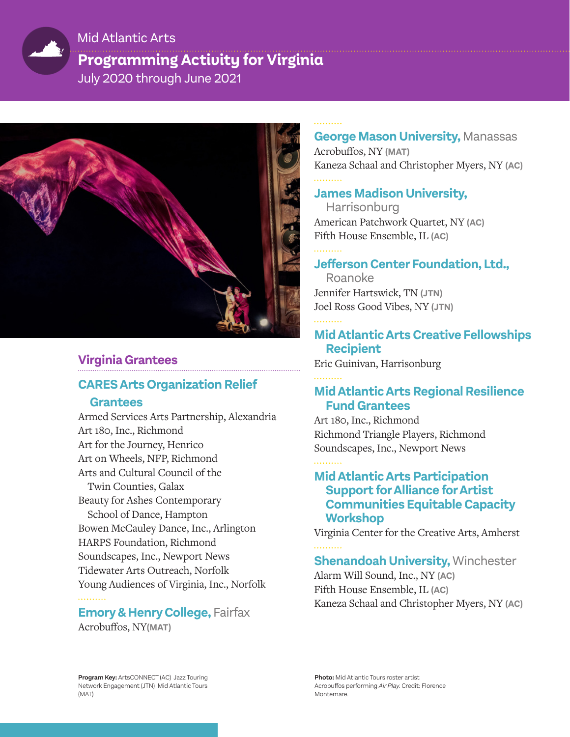

## **Programming Activity for Virginia** July 2020 through June 2021 Mid Atlantic Arts



## **Virginia Grantees**

## **CARES Arts Organization Relief**

### **Grantees**

Armed Services Arts Partnership, Alexandria Art 180, Inc., Richmond Art for the Journey, Henrico Art on Wheels, NFP, Richmond Arts and Cultural Council of the Twin Counties, Galax Beauty for Ashes Contemporary School of Dance, Hampton Bowen McCauley Dance, Inc., Arlington HARPS Foundation, Richmond Soundscapes, Inc., Newport News Tidewater Arts Outreach, Norfolk Young Audiences of Virginia, Inc., Norfolk

## **Emory & Henry College,** Fairfax Acrobuffos, NY**(MAT)**

## **George Mason University,** Manassas

Acrobuffos, NY **(MAT)** Kaneza Schaal and Christopher Myers, NY **(AC)**

## **James Madison University,**

Harrisonburg American Patchwork Quartet, NY **(AC)** Fifth House Ensemble, IL **(AC)**

## **Jefferson Center Foundation, Ltd.,**

Roanoke Jennifer Hartswick, TN **(JTN)** Joel Ross Good Vibes, NY **(JTN)**

## **Mid Atlantic Arts Creative Fellowships Recipient**

Eric Guinivan, Harrisonburg

## **Mid Atlantic Arts Regional Resilience Fund Grantees**

Art 180, Inc., Richmond Richmond Triangle Players, Richmond Soundscapes, Inc., Newport News

## **Mid Atlantic Arts Participation Support for Alliance for Artist Communities Equitable Capacity Workshop**

Virginia Center for the Creative Arts, Amherst

## **Shenandoah University,** Winchester

Alarm Will Sound, Inc., NY **(AC)** Fifth House Ensemble, IL **(AC)** Kaneza Schaal and Christopher Myers, NY **(AC)**

**Program Key:** ArtsCONNECT (AC) Jazz Touring Network Engagement (JTN) Mid Atlantic Tours (MAT)

**Photo:** Mid Atlantic Tours roster artist Acrobuffos performing *Air Play.* Credit: Florence Montemare.